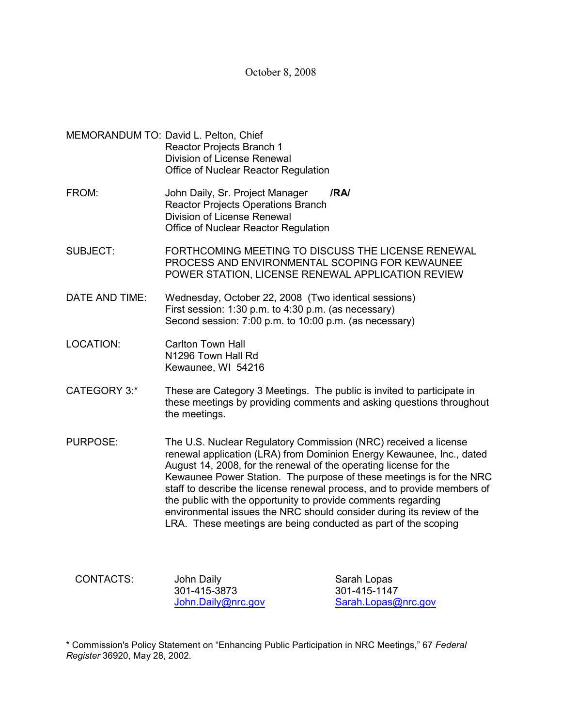October 8, 2008

- MEMORANDUM TO: David L. Pelton, Chief Reactor Projects Branch 1 Division of License Renewal Office of Nuclear Reactor Regulation
- FROM: John Daily, Sr. Project Manager **/RA/** Reactor Projects Operations Branch Division of License Renewal Office of Nuclear Reactor Regulation
- SUBJECT: FORTHCOMING MEETING TO DISCUSS THE LICENSE RENEWAL PROCESS AND ENVIRONMENTAL SCOPING FOR KEWAUNEE POWER STATION, LICENSE RENEWAL APPLICATION REVIEW
- DATE AND TIME: Wednesday, October 22, 2008(Two identical sessions) First session: 1:30 p.m. to 4:30 p.m. (as necessary) Second session: 7:00 p.m. to 10:00 p.m. (as necessary)
- LOCATION: Carlton Town Hall N1296 Town Hall Rd Kewaunee, WI 54216
- CATEGORY 3:\* These are Category 3 Meetings. The public is invited to participate in these meetings by providing comments and asking questions throughout the meetings.
- PURPOSE: The U.S. Nuclear Regulatory Commission (NRC) received a license renewal application (LRA) from Dominion Energy Kewaunee, Inc., dated August 14, 2008, for the renewal of the operating license for the Kewaunee Power Station. The purpose of these meetings is for the NRC staff to describe the license renewal process, and to provide members of the public with the opportunity to provide comments regarding environmental issues the NRC should consider during its review of the LRA. These meetings are being conducted as part of the scoping

CONTACTS: John Daily **Sarah Lopas** 301-415-3873 301-415-1147

John.Daily@nrc.gov Sarah.Lopas@nrc.gov

\* Commission's Policy Statement on "Enhancing Public Participation in NRC Meetings," 67 *Federal Register* 36920, May 28, 2002.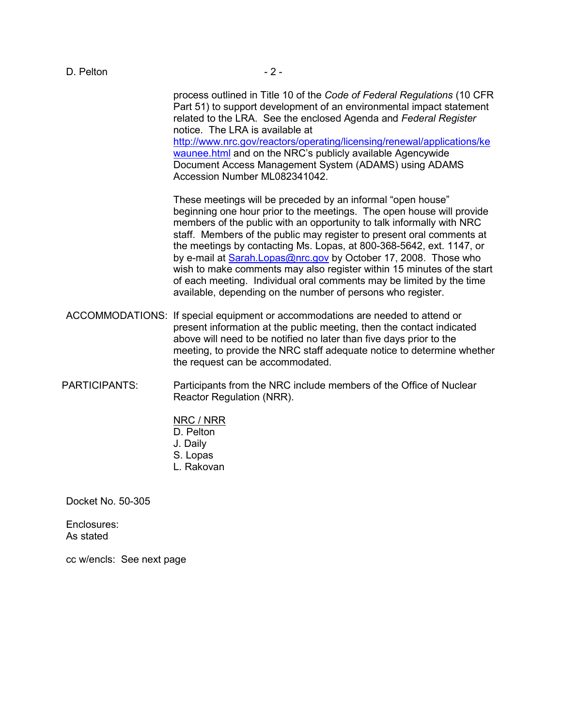process outlined in Title 10 of the *Code of Federal Regulations* (10 CFR Part 51) to support development of an environmental impact statement related to the LRA. See the enclosed Agenda and *Federal Register* notice. The LRA is available at http://www.nrc.gov/reactors/operating/licensing/renewal/applications/ke waunee.html and on the NRC's publicly available Agencywide Document Access Management System (ADAMS) using ADAMS Accession Number ML082341042.

These meetings will be preceded by an informal "open house" beginning one hour prior to the meetings. The open house will provide members of the public with an opportunity to talk informally with NRC staff. Members of the public may register to present oral comments at the meetings by contacting Ms. Lopas, at 800-368-5642, ext. 1147, or by e-mail at Sarah.Lopas@nrc.gov by October 17, 2008. Those who wish to make comments may also register within 15 minutes of the start of each meeting. Individual oral comments may be limited by the time available, depending on the number of persons who register.

- ACCOMMODATIONS: If special equipment or accommodations are needed to attend or present information at the public meeting, then the contact indicated above will need to be notified no later than five days prior to the meeting, to provide the NRC staff adequate notice to determine whether the request can be accommodated.
- PARTICIPANTS: Participants from the NRC include members of the Office of Nuclear Reactor Regulation (NRR).
	- NRC / NRR D. Pelton J. Daily S. Lopas
	- L. Rakovan

Docket No. 50-305

Enclosures: As stated

cc w/encls: See next page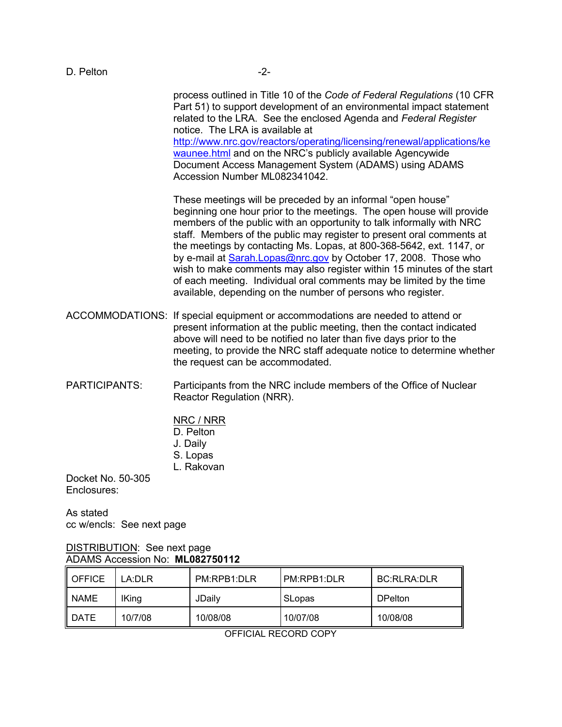process outlined in Title 10 of the *Code of Federal Regulations* (10 CFR Part 51) to support development of an environmental impact statement related to the LRA. See the enclosed Agenda and *Federal Register* notice. The LRA is available at http://www.nrc.gov/reactors/operating/licensing/renewal/applications/ke waunee.html and on the NRC's publicly available Agencywide Document Access Management System (ADAMS) using ADAMS Accession Number ML082341042.

These meetings will be preceded by an informal "open house" beginning one hour prior to the meetings. The open house will provide members of the public with an opportunity to talk informally with NRC staff. Members of the public may register to present oral comments at the meetings by contacting Ms. Lopas, at 800-368-5642, ext. 1147, or by e-mail at Sarah.Lopas@nrc.gov by October 17, 2008. Those who wish to make comments may also register within 15 minutes of the start of each meeting. Individual oral comments may be limited by the time available, depending on the number of persons who register.

- ACCOMMODATIONS: If special equipment or accommodations are needed to attend or present information at the public meeting, then the contact indicated above will need to be notified no later than five days prior to the meeting, to provide the NRC staff adequate notice to determine whether the request can be accommodated.
- PARTICIPANTS: Participants from the NRC include members of the Office of Nuclear Reactor Regulation (NRR).
	- NRC / NRR
	- D. Pelton
	- J. Daily
	- S. Lopas
	- L. Rakovan

Docket No. 50-305 Enclosures:

As stated cc w/encls: See next page

### DISTRIBUTION: See next page ADAMS Accession No: **ML082750112**

| OFFICE   | LA:DLR       | PM:RPB1:DLR | PM:RPB1:DLR | BC:RLRA:DLR    |
|----------|--------------|-------------|-------------|----------------|
| NAME     | <b>IKing</b> | JDailv      | SLopas      | <b>DPelton</b> |
| II DATE. | 10/7/08      | 10/08/08    | 10/07/08    | 10/08/08       |

OFFICIAL RECORD COPY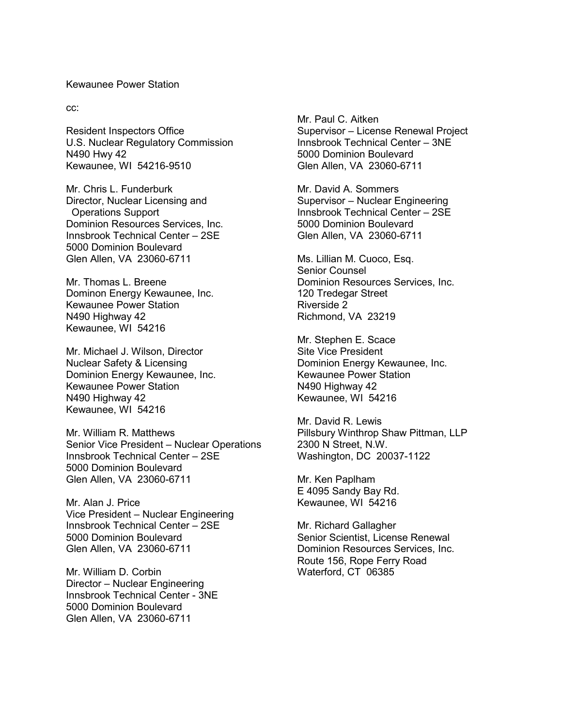#### Kewaunee Power Station

cc:

Resident Inspectors Office U.S. Nuclear Regulatory Commission N490 Hwy 42 Kewaunee, WI 54216-9510

Mr. Chris L. Funderburk Director, Nuclear Licensing and Operations Support Dominion Resources Services, Inc. Innsbrook Technical Center – 2SE 5000 Dominion Boulevard Glen Allen, VA 23060-6711

Mr. Thomas L. Breene Dominon Energy Kewaunee, Inc. Kewaunee Power Station N490 Highway 42 Kewaunee, WI 54216

Mr. Michael J. Wilson, Director Nuclear Safety & Licensing Dominion Energy Kewaunee, Inc. Kewaunee Power Station N490 Highway 42 Kewaunee, WI 54216

Mr. William R. Matthews Senior Vice President – Nuclear Operations Innsbrook Technical Center – 2SE 5000 Dominion Boulevard Glen Allen, VA 23060-6711

Mr. Alan J. Price Vice President – Nuclear Engineering Innsbrook Technical Center – 2SE 5000 Dominion Boulevard Glen Allen, VA 23060-6711

Mr. William D. Corbin Director – Nuclear Engineering Innsbrook Technical Center - 3NE 5000 Dominion Boulevard Glen Allen, VA 23060-6711

Mr. Paul C. Aitken Supervisor – License Renewal Project Innsbrook Technical Center – 3NE 5000 Dominion Boulevard Glen Allen, VA 23060-6711

Mr. David A. Sommers Supervisor – Nuclear Engineering Innsbrook Technical Center – 2SE 5000 Dominion Boulevard Glen Allen, VA 23060-6711

Ms. Lillian M. Cuoco, Esq. Senior Counsel Dominion Resources Services, Inc. 120 Tredegar Street Riverside 2 Richmond, VA 23219

Mr. Stephen E. Scace Site Vice President Dominion Energy Kewaunee, Inc. Kewaunee Power Station N490 Highway 42 Kewaunee, WI 54216

Mr. David R. Lewis Pillsbury Winthrop Shaw Pittman, LLP 2300 N Street, N.W. Washington, DC 20037-1122

Mr. Ken Paplham E 4095 Sandy Bay Rd. Kewaunee, WI 54216

Mr. Richard Gallagher Senior Scientist, License Renewal Dominion Resources Services, Inc. Route 156, Rope Ferry Road Waterford, CT 06385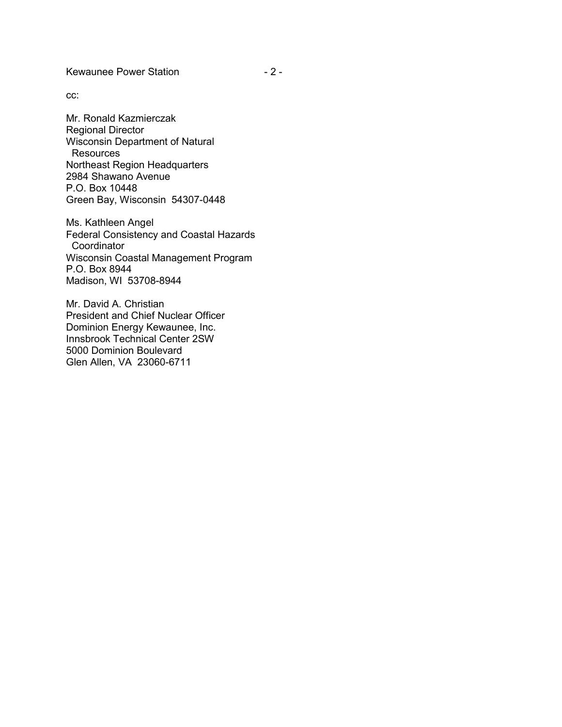Kewaunee Power Station **- 2 -**

cc:

Mr. Ronald Kazmierczak Regional Director Wisconsin Department of Natural **Resources** Northeast Region Headquarters 2984 Shawano Avenue P.O. Box 10448 Green Bay, Wisconsin 54307-0448

Ms. Kathleen Angel Federal Consistency and Coastal Hazards **Coordinator** Wisconsin Coastal Management Program P.O. Box 8944 Madison, WI 53708-8944

Mr. David A. Christian President and Chief Nuclear Officer Dominion Energy Kewaunee, Inc. Innsbrook Technical Center 2SW 5000 Dominion Boulevard Glen Allen, VA 23060-6711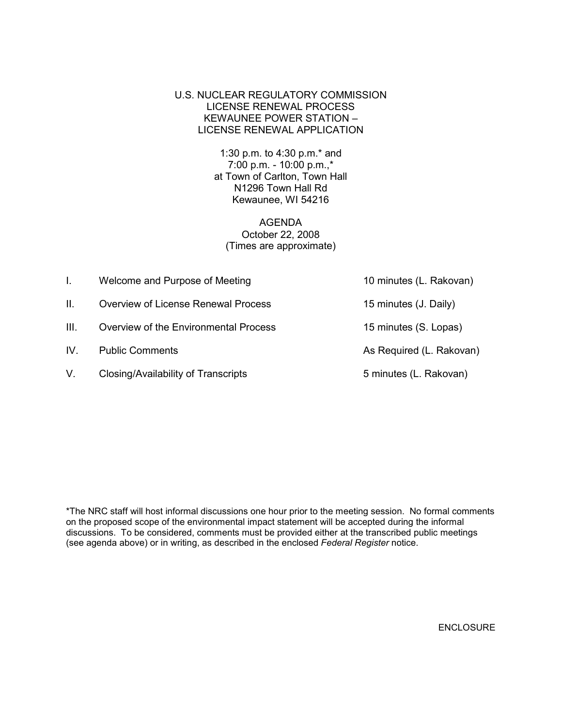U.S. NUCLEAR REGULATORY COMMISSION LICENSE RENEWAL PROCESS KEWAUNEE POWER STATION – LICENSE RENEWAL APPLICATION

> 1:30 p.m. to 4:30 p.m.\* and 7:00 p.m. - 10:00 p.m.,\* at Town of Carlton, Town Hall N1296 Town Hall Rd Kewaunee, WI 54216

AGENDA October 22, 2008 (Times are approximate)

| L.   | Welcome and Purpose of Meeting             | 10 minutes (L. Rakovan)  |
|------|--------------------------------------------|--------------------------|
| Н.   | <b>Overview of License Renewal Process</b> | 15 minutes (J. Daily)    |
| III. | Overview of the Environmental Process      | 15 minutes (S. Lopas)    |
| IV.  | <b>Public Comments</b>                     | As Required (L. Rakovan) |
| V.   | Closing/Availability of Transcripts        | 5 minutes (L. Rakovan)   |

\*The NRC staff will host informal discussions one hour prior to the meeting session. No formal comments on the proposed scope of the environmental impact statement will be accepted during the informal discussions. To be considered, comments must be provided either at the transcribed public meetings (see agenda above) or in writing, as described in the enclosed *Federal Register* notice.

ENCLOSURE